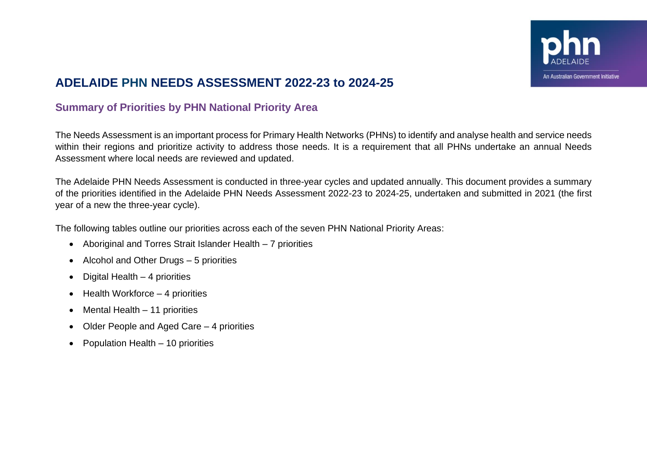

# **ADELAIDE PHN NEEDS ASSESSMENT 2022-23 to 2024-25**

## **Summary of Priorities by PHN National Priority Area**

The Needs Assessment is an important process for Primary Health Networks (PHNs) to identify and analyse health and service needs within their regions and prioritize activity to address those needs. It is a requirement that all PHNs undertake an annual Needs Assessment where local needs are reviewed and updated.

The Adelaide PHN Needs Assessment is conducted in three-year cycles and updated annually. This document provides a summary of the priorities identified in the Adelaide PHN Needs Assessment 2022-23 to 2024-25, undertaken and submitted in 2021 (the first year of a new the three-year cycle).

The following tables outline our priorities across each of the seven PHN National Priority Areas:

- Aboriginal and Torres Strait Islander Health 7 priorities
- Alcohol and Other Drugs 5 priorities
- Digital Health  $-4$  priorities
- Health Workforce 4 priorities
- Mental Health 11 priorities
- Older People and Aged Care 4 priorities
- Population Health 10 priorities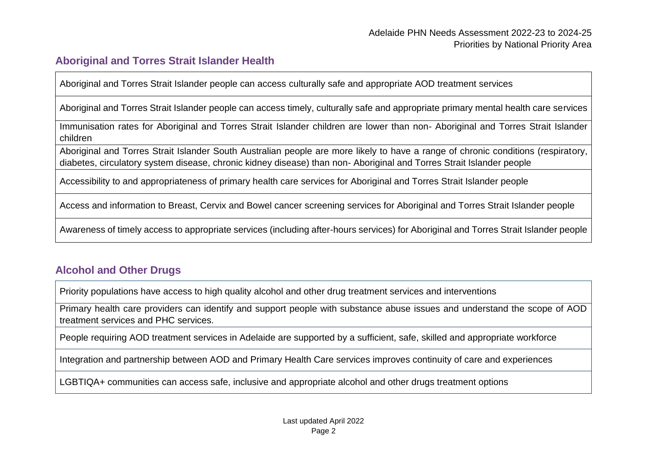# **Aboriginal and Torres Strait Islander Health**

Aboriginal and Torres Strait Islander people can access culturally safe and appropriate AOD treatment services

Aboriginal and Torres Strait Islander people can access timely, culturally safe and appropriate primary mental health care services

Immunisation rates for Aboriginal and Torres Strait Islander children are lower than non- Aboriginal and Torres Strait Islander children

Aboriginal and Torres Strait Islander South Australian people are more likely to have a range of chronic conditions (respiratory, diabetes, circulatory system disease, chronic kidney disease) than non- Aboriginal and Torres Strait Islander people

Accessibility to and appropriateness of primary health care services for Aboriginal and Torres Strait Islander people

Access and information to Breast, Cervix and Bowel cancer screening services for Aboriginal and Torres Strait Islander people

Awareness of timely access to appropriate services (including after-hours services) for Aboriginal and Torres Strait Islander people

# **Alcohol and Other Drugs**

Priority populations have access to high quality alcohol and other drug treatment services and interventions

Primary health care providers can identify and support people with substance abuse issues and understand the scope of AOD treatment services and PHC services.

People requiring AOD treatment services in Adelaide are supported by a sufficient, safe, skilled and appropriate workforce

Integration and partnership between AOD and Primary Health Care services improves continuity of care and experiences

LGBTIQA+ communities can access safe, inclusive and appropriate alcohol and other drugs treatment options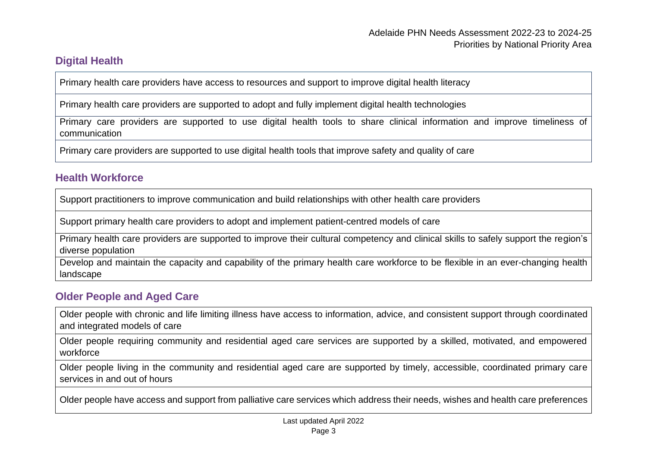# **Digital Health**

Primary health care providers have access to resources and support to improve digital health literacy

Primary health care providers are supported to adopt and fully implement digital health technologies

Primary care providers are supported to use digital health tools to share clinical information and improve timeliness of communication

Primary care providers are supported to use digital health tools that improve safety and quality of care

# **Health Workforce**

Support practitioners to improve communication and build relationships with other health care providers

Support primary health care providers to adopt and implement patient-centred models of care

Primary health care providers are supported to improve their cultural competency and clinical skills to safely support the region's diverse population

Develop and maintain the capacity and capability of the primary health care workforce to be flexible in an ever-changing health landscape

# **Older People and Aged Care**

Older people with chronic and life limiting illness have access to information, advice, and consistent support through coordinated and integrated models of care

Older people requiring community and residential aged care services are supported by a skilled, motivated, and empowered workforce

Older people living in the community and residential aged care are supported by timely, accessible, coordinated primary care services in and out of hours

Older people have access and support from palliative care services which address their needs, wishes and health care preferences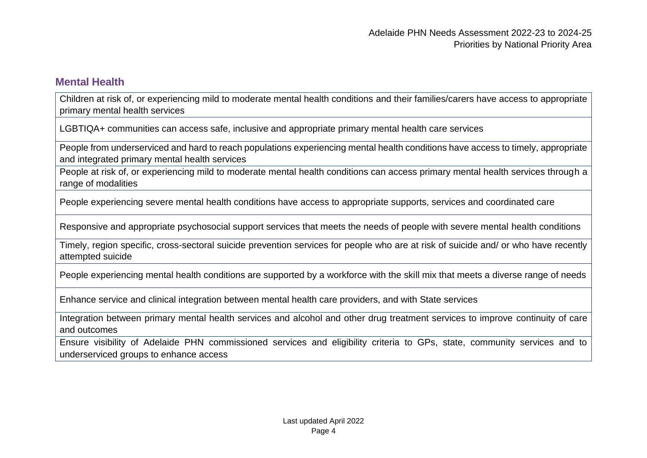#### **Mental Health**

Children at risk of, or experiencing mild to moderate mental health conditions and their families/carers have access to appropriate primary mental health services

LGBTIQA+ communities can access safe, inclusive and appropriate primary mental health care services

People from underserviced and hard to reach populations experiencing mental health conditions have access to timely, appropriate and integrated primary mental health services

People at risk of, or experiencing mild to moderate mental health conditions can access primary mental health services through a range of modalities

People experiencing severe mental health conditions have access to appropriate supports, services and coordinated care

Responsive and appropriate psychosocial support services that meets the needs of people with severe mental health conditions

Timely, region specific, cross-sectoral suicide prevention services for people who are at risk of suicide and/ or who have recently attempted suicide

People experiencing mental health conditions are supported by a workforce with the skill mix that meets a diverse range of needs

Enhance service and clinical integration between mental health care providers, and with State services

Integration between primary mental health services and alcohol and other drug treatment services to improve continuity of care and outcomes

Ensure visibility of Adelaide PHN commissioned services and eligibility criteria to GPs, state, community services and to underserviced groups to enhance access